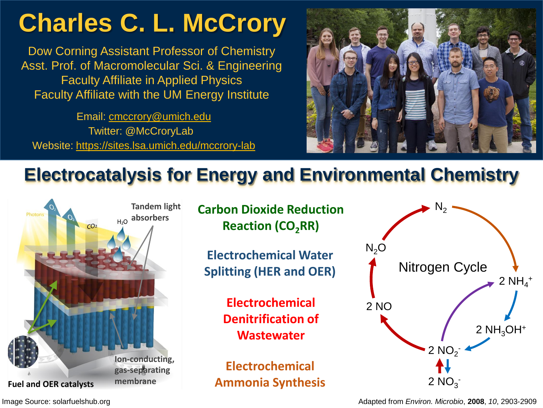# **Charles C. L. McCrory**

Dow Corning Assistant Professor of Chemistry Asst. Prof. of Macromolecular Sci. & Engineering Faculty Affiliate in Applied Physics Faculty Affiliate with the UM Energy Institute

Email: [cmccrory@umich.edu](mailto:cmccrory@umich.edu) Twitter: @McCroryLab Website:<https://sites.lsa.umich.edu/mccrory-lab>



## **Electrocatalysis for Energy and Environmental Chemistry**



**Carbon Dioxide Reduction Reaction (CO2RR)**

**Electrochemical Water Splitting (HER and OER)**

> **Electrochemical Denitrification of Wastewater**

**Electrochemical Ammonia Synthesis**



Adapted from *Environ. Microbio*, **2008**, *10*, 2903-2909